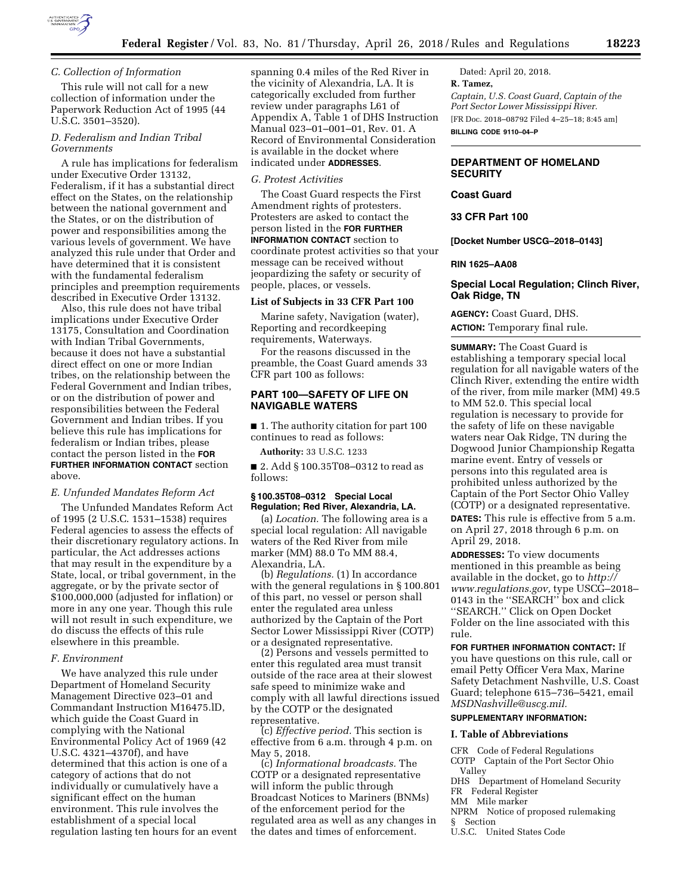

## *C. Collection of Information*

This rule will not call for a new collection of information under the Paperwork Reduction Act of 1995 (44 U.S.C. 3501–3520).

# *D. Federalism and Indian Tribal Governments*

A rule has implications for federalism under Executive Order 13132, Federalism, if it has a substantial direct effect on the States, on the relationship between the national government and the States, or on the distribution of power and responsibilities among the various levels of government. We have analyzed this rule under that Order and have determined that it is consistent with the fundamental federalism principles and preemption requirements described in Executive Order 13132.

Also, this rule does not have tribal implications under Executive Order 13175, Consultation and Coordination with Indian Tribal Governments, because it does not have a substantial direct effect on one or more Indian tribes, on the relationship between the Federal Government and Indian tribes, or on the distribution of power and responsibilities between the Federal Government and Indian tribes. If you believe this rule has implications for federalism or Indian tribes, please contact the person listed in the **FOR FURTHER INFORMATION CONTACT** section above.

## *E. Unfunded Mandates Reform Act*

The Unfunded Mandates Reform Act of 1995 (2 U.S.C. 1531–1538) requires Federal agencies to assess the effects of their discretionary regulatory actions. In particular, the Act addresses actions that may result in the expenditure by a State, local, or tribal government, in the aggregate, or by the private sector of \$100,000,000 (adjusted for inflation) or more in any one year. Though this rule will not result in such expenditure, we do discuss the effects of this rule elsewhere in this preamble.

## *F. Environment*

We have analyzed this rule under Department of Homeland Security Management Directive 023–01 and Commandant Instruction M16475.lD, which guide the Coast Guard in complying with the National Environmental Policy Act of 1969 (42 U.S.C. 4321–4370f), and have determined that this action is one of a category of actions that do not individually or cumulatively have a significant effect on the human environment. This rule involves the establishment of a special local regulation lasting ten hours for an event

spanning 0.4 miles of the Red River in the vicinity of Alexandria, LA. It is categorically excluded from further review under paragraphs L61 of Appendix A, Table 1 of DHS Instruction Manual 023–01–001–01, Rev. 01. A Record of Environmental Consideration is available in the docket where indicated under **ADDRESSES**.

## *G. Protest Activities*

The Coast Guard respects the First Amendment rights of protesters. Protesters are asked to contact the person listed in the **FOR FURTHER INFORMATION CONTACT** section to coordinate protest activities so that your message can be received without jeopardizing the safety or security of people, places, or vessels.

#### **List of Subjects in 33 CFR Part 100**

Marine safety, Navigation (water), Reporting and recordkeeping requirements, Waterways.

For the reasons discussed in the preamble, the Coast Guard amends 33 CFR part 100 as follows:

## **PART 100—SAFETY OF LIFE ON NAVIGABLE WATERS**

■ 1. The authority citation for part 100 continues to read as follows:

**Authority:** 33 U.S.C. 1233

■ 2. Add § 100.35T08–0312 to read as follows:

### **§ 100.35T08–0312 Special Local Regulation; Red River, Alexandria, LA.**

(a) *Location.* The following area is a special local regulation: All navigable waters of the Red River from mile marker (MM) 88.0 To MM 88.4, Alexandria, LA.

(b) *Regulations.* (1) In accordance with the general regulations in § 100.801 of this part, no vessel or person shall enter the regulated area unless authorized by the Captain of the Port Sector Lower Mississippi River (COTP) or a designated representative.

(2) Persons and vessels permitted to enter this regulated area must transit outside of the race area at their slowest safe speed to minimize wake and comply with all lawful directions issued by the COTP or the designated representative.

(c) *Effective period.* This section is effective from 6 a.m. through 4 p.m. on May 5, 2018.

(c) *Informational broadcasts.* The COTP or a designated representative will inform the public through Broadcast Notices to Mariners (BNMs) of the enforcement period for the regulated area as well as any changes in the dates and times of enforcement.

Dated: April 20, 2018. **R. Tamez,**  *Captain, U.S. Coast Guard, Captain of the Port Sector Lower Mississippi River.*  [FR Doc. 2018–08792 Filed 4–25–18; 8:45 am] **BILLING CODE 9110–04–P** 

# **DEPARTMENT OF HOMELAND SECURITY**

#### **Coast Guard**

**33 CFR Part 100** 

**[Docket Number USCG–2018–0143]** 

#### **RIN 1625–AA08**

# **Special Local Regulation; Clinch River, Oak Ridge, TN**

**AGENCY:** Coast Guard, DHS. **ACTION:** Temporary final rule.

**SUMMARY:** The Coast Guard is establishing a temporary special local regulation for all navigable waters of the Clinch River, extending the entire width of the river, from mile marker (MM) 49.5 to MM 52.0. This special local regulation is necessary to provide for the safety of life on these navigable waters near Oak Ridge, TN during the Dogwood Junior Championship Regatta marine event. Entry of vessels or persons into this regulated area is prohibited unless authorized by the Captain of the Port Sector Ohio Valley (COTP) or a designated representative.

**DATES:** This rule is effective from 5 a.m. on April 27, 2018 through 6 p.m. on April 29, 2018.

**ADDRESSES:** To view documents mentioned in this preamble as being available in the docket, go to *[http://](http://www.regulations.gov) [www.regulations.gov,](http://www.regulations.gov)* type USCG–2018– 0143 in the ''SEARCH'' box and click ''SEARCH.'' Click on Open Docket Folder on the line associated with this rule.

#### **FOR FURTHER INFORMATION CONTACT:** If

you have questions on this rule, call or email Petty Officer Vera Max, Marine Safety Detachment Nashville, U.S. Coast Guard; telephone 615–736–5421, email *[MSDNashville@uscg.mil.](mailto:MSDNashville@uscg.mil)* 

#### **SUPPLEMENTARY INFORMATION:**

## **I. Table of Abbreviations**

CFR Code of Federal Regulations COTP Captain of the Port Sector Ohio

- Valley DHS Department of Homeland Security
- FR Federal Register
- MM Mile marker

NPRM Notice of proposed rulemaking

§ Section

U.S.C. United States Code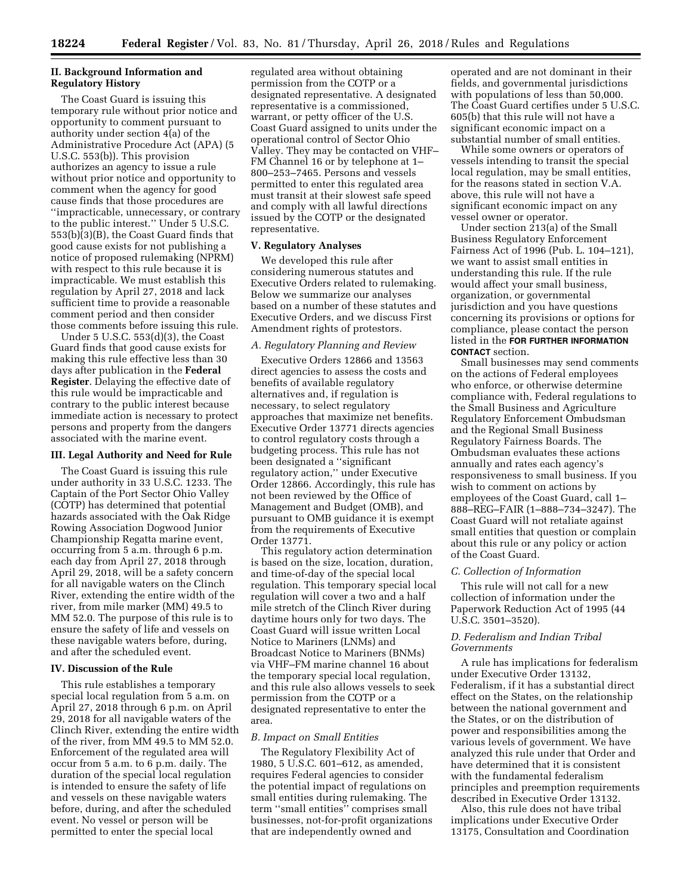## **II. Background Information and Regulatory History**

The Coast Guard is issuing this temporary rule without prior notice and opportunity to comment pursuant to authority under section 4(a) of the Administrative Procedure Act (APA) (5 U.S.C. 553(b)). This provision authorizes an agency to issue a rule without prior notice and opportunity to comment when the agency for good cause finds that those procedures are ''impracticable, unnecessary, or contrary to the public interest.'' Under 5 U.S.C. 553(b)(3)(B), the Coast Guard finds that good cause exists for not publishing a notice of proposed rulemaking (NPRM) with respect to this rule because it is impracticable. We must establish this regulation by April 27, 2018 and lack sufficient time to provide a reasonable comment period and then consider those comments before issuing this rule.

Under 5 U.S.C. 553(d)(3), the Coast Guard finds that good cause exists for making this rule effective less than 30 days after publication in the **Federal Register**. Delaying the effective date of this rule would be impracticable and contrary to the public interest because immediate action is necessary to protect persons and property from the dangers associated with the marine event.

#### **III. Legal Authority and Need for Rule**

The Coast Guard is issuing this rule under authority in 33 U.S.C. 1233. The Captain of the Port Sector Ohio Valley (COTP) has determined that potential hazards associated with the Oak Ridge Rowing Association Dogwood Junior Championship Regatta marine event, occurring from 5 a.m. through 6 p.m. each day from April 27, 2018 through April 29, 2018, will be a safety concern for all navigable waters on the Clinch River, extending the entire width of the river, from mile marker (MM) 49.5 to MM 52.0. The purpose of this rule is to ensure the safety of life and vessels on these navigable waters before, during, and after the scheduled event.

#### **IV. Discussion of the Rule**

This rule establishes a temporary special local regulation from 5 a.m. on April 27, 2018 through 6 p.m. on April 29, 2018 for all navigable waters of the Clinch River, extending the entire width of the river, from MM 49.5 to MM 52.0. Enforcement of the regulated area will occur from 5 a.m. to 6 p.m. daily. The duration of the special local regulation is intended to ensure the safety of life and vessels on these navigable waters before, during, and after the scheduled event. No vessel or person will be permitted to enter the special local

regulated area without obtaining permission from the COTP or a designated representative. A designated representative is a commissioned, warrant, or petty officer of the U.S. Coast Guard assigned to units under the operational control of Sector Ohio Valley. They may be contacted on VHF– FM Channel 16 or by telephone at 1– 800–253–7465. Persons and vessels permitted to enter this regulated area must transit at their slowest safe speed and comply with all lawful directions issued by the COTP or the designated representative.

## **V. Regulatory Analyses**

We developed this rule after considering numerous statutes and Executive Orders related to rulemaking. Below we summarize our analyses based on a number of these statutes and Executive Orders, and we discuss First Amendment rights of protestors.

#### *A. Regulatory Planning and Review*

Executive Orders 12866 and 13563 direct agencies to assess the costs and benefits of available regulatory alternatives and, if regulation is necessary, to select regulatory approaches that maximize net benefits. Executive Order 13771 directs agencies to control regulatory costs through a budgeting process. This rule has not been designated a ''significant regulatory action,'' under Executive Order 12866. Accordingly, this rule has not been reviewed by the Office of Management and Budget (OMB), and pursuant to OMB guidance it is exempt from the requirements of Executive Order 13771.

This regulatory action determination is based on the size, location, duration, and time-of-day of the special local regulation. This temporary special local regulation will cover a two and a half mile stretch of the Clinch River during daytime hours only for two days. The Coast Guard will issue written Local Notice to Mariners (LNMs) and Broadcast Notice to Mariners (BNMs) via VHF–FM marine channel 16 about the temporary special local regulation, and this rule also allows vessels to seek permission from the COTP or a designated representative to enter the area.

#### *B. Impact on Small Entities*

The Regulatory Flexibility Act of 1980, 5 U.S.C. 601–612, as amended, requires Federal agencies to consider the potential impact of regulations on small entities during rulemaking. The term ''small entities'' comprises small businesses, not-for-profit organizations that are independently owned and

operated and are not dominant in their fields, and governmental jurisdictions with populations of less than 50,000. The Coast Guard certifies under 5 U.S.C. 605(b) that this rule will not have a significant economic impact on a substantial number of small entities.

While some owners or operators of vessels intending to transit the special local regulation, may be small entities, for the reasons stated in section V.A. above, this rule will not have a significant economic impact on any vessel owner or operator.

Under section 213(a) of the Small Business Regulatory Enforcement Fairness Act of 1996 (Pub. L. 104–121), we want to assist small entities in understanding this rule. If the rule would affect your small business, organization, or governmental jurisdiction and you have questions concerning its provisions or options for compliance, please contact the person listed in the **FOR FURTHER INFORMATION CONTACT** section.

Small businesses may send comments on the actions of Federal employees who enforce, or otherwise determine compliance with, Federal regulations to the Small Business and Agriculture Regulatory Enforcement Ombudsman and the Regional Small Business Regulatory Fairness Boards. The Ombudsman evaluates these actions annually and rates each agency's responsiveness to small business. If you wish to comment on actions by employees of the Coast Guard, call 1– 888–REG–FAIR (1–888–734–3247). The Coast Guard will not retaliate against small entities that question or complain about this rule or any policy or action of the Coast Guard.

#### *C. Collection of Information*

This rule will not call for a new collection of information under the Paperwork Reduction Act of 1995 (44 U.S.C. 3501–3520).

# *D. Federalism and Indian Tribal Governments*

A rule has implications for federalism under Executive Order 13132, Federalism, if it has a substantial direct effect on the States, on the relationship between the national government and the States, or on the distribution of power and responsibilities among the various levels of government. We have analyzed this rule under that Order and have determined that it is consistent with the fundamental federalism principles and preemption requirements described in Executive Order 13132.

Also, this rule does not have tribal implications under Executive Order 13175, Consultation and Coordination